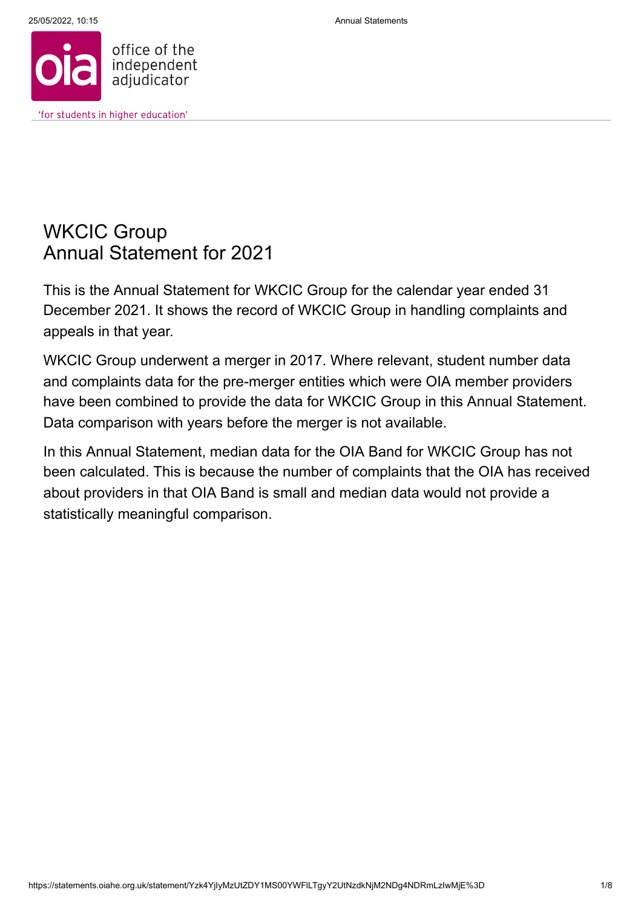

# WKCIC Group Annual Statement for 2021

This is the Annual Statement for WKCIC Group for the calendar year ended 31 December 2021. It shows the record of WKCIC Group in handling complaints and appeals in that year.

WKCIC Group underwent a merger in 2017. Where relevant, student number data and complaints data for the pre-merger entities which were OIA member providers have been combined to provide the data for WKCIC Group in this Annual Statement. Data comparison with years before the merger is not available.

In this Annual Statement, median data for the OIA Band for WKCIC Group has not been calculated. This is because the number of complaints that the OIA has received about providers in that OIA Band is small and median data would not provide a statistically meaningful comparison.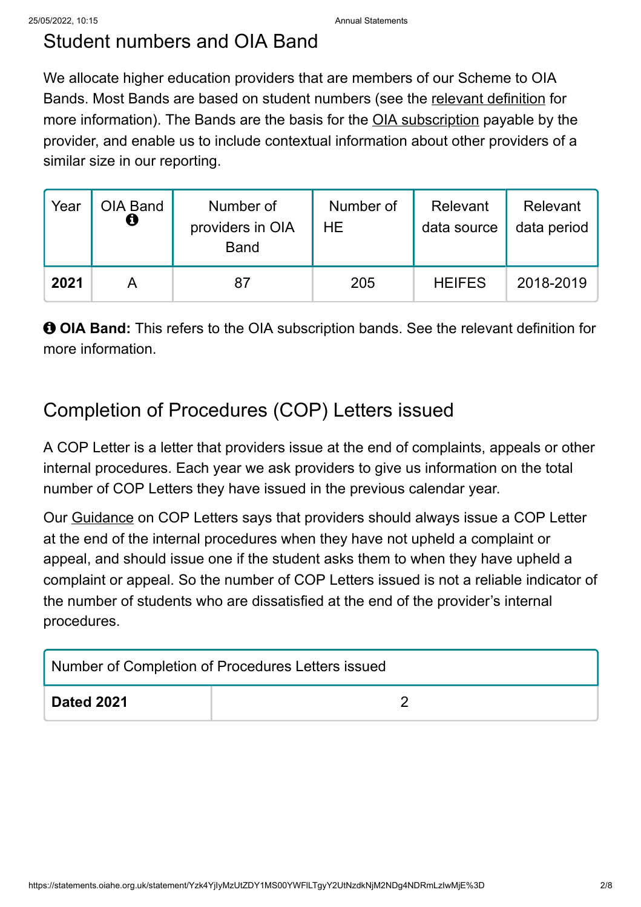# Student numbers and OIA Band

We allocate higher education providers that are members of our Scheme to OIA Bands. Most Bands are based on student numbers (see the [relevant definition](https://statements.oiahe.org.uk/relevantdefinitions) for more information). The Bands are the basis for the **OIA** subscription payable by the provider, and enable us to include contextual information about other providers of a similar size in our reporting.

| Year | OIA Band<br>Ô | Number of<br>providers in OIA<br><b>Band</b> | Number of<br>HE. | Relevant<br>data source | Relevant<br>data period |
|------|---------------|----------------------------------------------|------------------|-------------------------|-------------------------|
| 2021 |               |                                              | 205              | <b>HEIFES</b>           | 2018-2019               |

 **OIA Band:** This refers to the OIA subscription bands. See the relevant definition for more information.

# Completion of Procedures (COP) Letters issued

A COP Letter is a letter that providers issue at the end of complaints, appeals or other internal procedures. Each year we ask providers to give us information on the total number of COP Letters they have issued in the previous calendar year.

Our [Guidance](http://www.oiahe.org.uk/providers-and-good-practice/completion-of-procedures-letter.aspx) on COP Letters says that providers should always issue a COP Letter at the end of the internal procedures when they have not upheld a complaint or appeal, and should issue one if the student asks them to when they have upheld a complaint or appeal. So the number of COP Letters issued is not a reliable indicator of the number of students who are dissatisfied at the end of the provider's internal procedures.

| Number of Completion of Procedures Letters issued |  |  |  |
|---------------------------------------------------|--|--|--|
| <b>Dated 2021</b>                                 |  |  |  |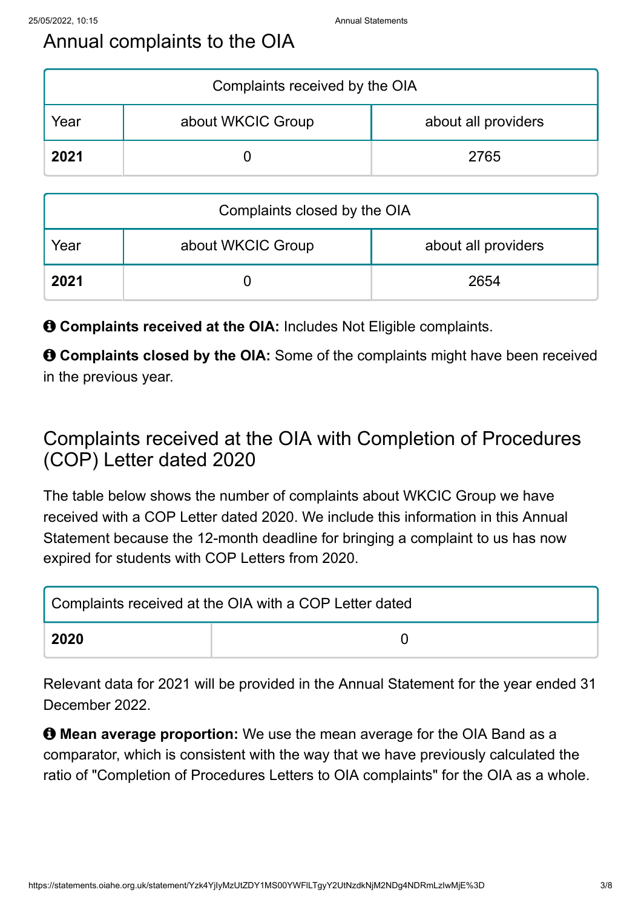# Annual complaints to the OIA

| Complaints received by the OIA |                   |                     |  |  |
|--------------------------------|-------------------|---------------------|--|--|
| rear                           | about WKCIC Group | about all providers |  |  |
| 2021                           |                   | 2765                |  |  |

| Complaints closed by the OIA |                   |                     |  |  |
|------------------------------|-------------------|---------------------|--|--|
| Year                         | about WKCIC Group | about all providers |  |  |
| 2021                         |                   | 2654                |  |  |

 $\Theta$  **Complaints received at the OIA:** Includes Not Eligible complaints.

 $\Theta$  **Complaints closed by the OIA:** Some of the complaints might have been received in the previous year.

# Complaints received at the OIA with Completion of Procedures (COP) Letter dated 2020

The table below shows the number of complaints about WKCIC Group we have received with a COP Letter dated 2020. We include this information in this Annual Statement because the 12-month deadline for bringing a complaint to us has now expired for students with COP Letters from 2020.

| Complaints received at the OIA with a COP Letter dated |  |  |
|--------------------------------------------------------|--|--|
| 2020                                                   |  |  |

Relevant data for 2021 will be provided in the Annual Statement for the year ended 31 December 2022.

 **Mean average proportion:** We use the mean average for the OIA Band as a comparator, which is consistent with the way that we have previously calculated the ratio of "Completion of Procedures Letters to OIA complaints" for the OIA as a whole.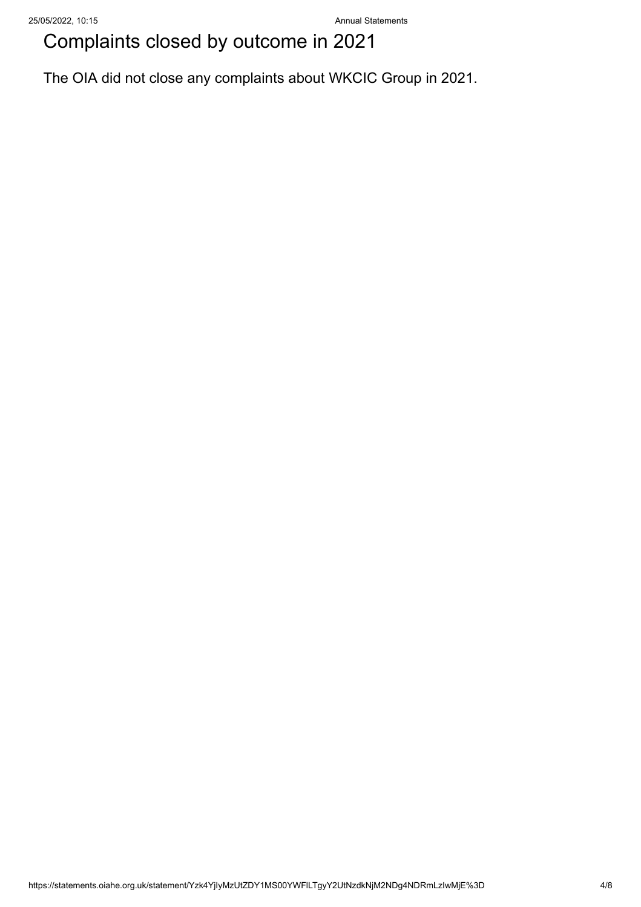# Complaints closed by outcome in 2021

The OIA did not close any complaints about WKCIC Group in 2021.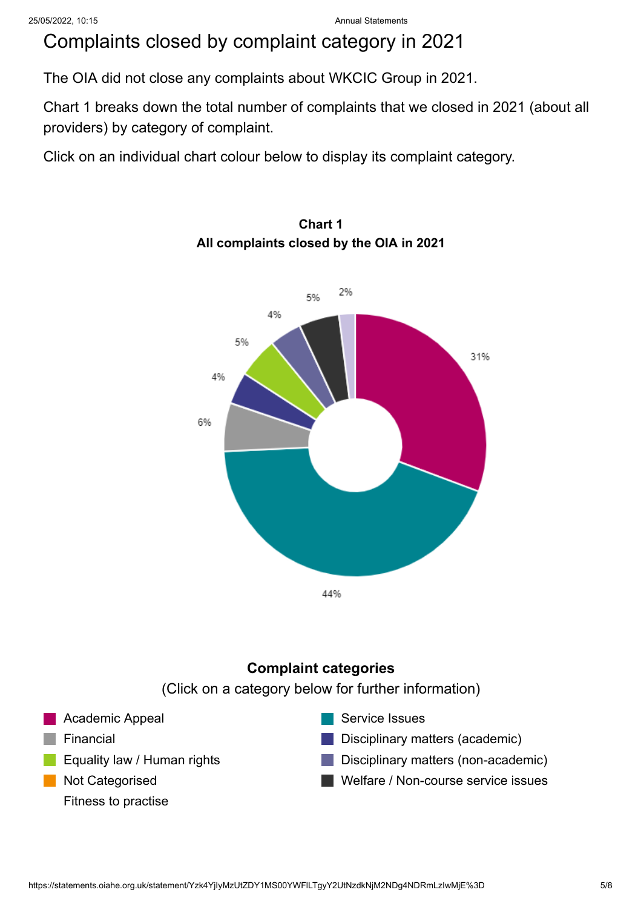# Complaints closed by complaint category in 2021

The OIA did not close any complaints about WKCIC Group in 2021.

Chart 1 breaks down the total number of complaints that we closed in 2021 (about all providers) by category of complaint.

Click on an individual chart colour below to display its complaint category.



### **Chart 1 All complaints closed by the OIA in 2021**

### **Complaint categories**

(Click on a category below for further information)

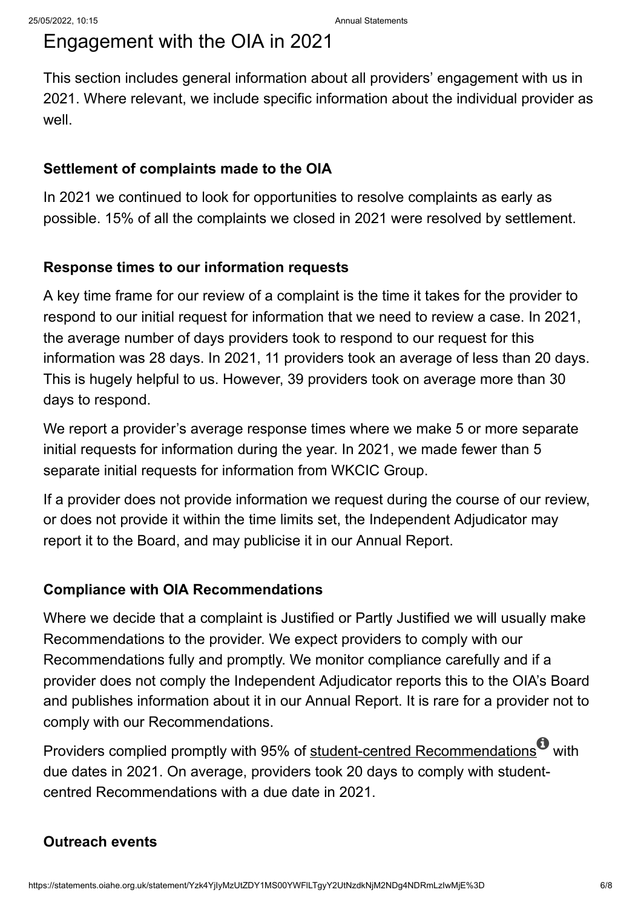## Engagement with the OIA in 2021

This section includes general information about all providers' engagement with us in 2021. Where relevant, we include specific information about the individual provider as well.

### **Settlement of complaints made to the OIA**

In 2021 we continued to look for opportunities to resolve complaints as early as possible. 15% of all the complaints we closed in 2021 were resolved by settlement.

### **Response times to our information requests**

A key time frame for our review of a complaint is the time it takes for the provider to respond to our initial request for information that we need to review a case. In 2021, the average number of days providers took to respond to our request for this information was 28 days. In 2021, 11 providers took an average of less than 20 days. This is hugely helpful to us. However, 39 providers took on average more than 30 days to respond.

We report a provider's average response times where we make 5 or more separate initial requests for information during the year. In 2021, we made fewer than 5 separate initial requests for information from WKCIC Group.

If a provider does not provide information we request during the course of our review, or does not provide it within the time limits set, the Independent Adjudicator may report it to the Board, and may publicise it in our Annual Report.

### **Compliance with OIA Recommendations**

Where we decide that a complaint is Justified or Partly Justified we will usually make Recommendations to the provider. We expect providers to comply with our Recommendations fully and promptly. We monitor compliance carefully and if a provider does not comply the Independent Adjudicator reports this to the OIA's Board and publishes information about it in our Annual Report. It is rare for a provider not to comply with our Recommendations.

Providers complied promptly with 95% of <u>student-centred Recommendations</u>  $^\text{\textregistered}$  with due dates in 2021. On average, providers took 20 days to comply with studentcentred Recommendations with a due date in 2021.

### **Outreach events**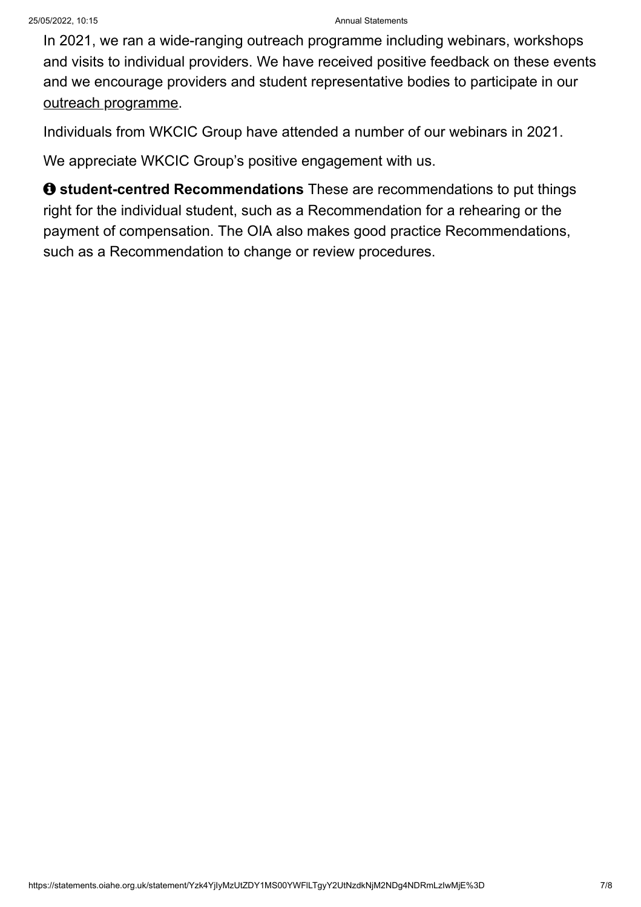In 2021, we ran a wide-ranging outreach programme including webinars, workshops and visits to individual providers. We have received positive feedback on these events and we encourage providers and student representative bodies to participate in our [outreach programme.](https://www.oiahe.org.uk/about-us/sharing-learning/outreach-and-events/)

Individuals from WKCIC Group have attended a number of our webinars in 2021.

We appreciate WKCIC Group's positive engagement with us.

 $\theta$  **student-centred Recommendations** These are recommendations to put things right for the individual student, such as a Recommendation for a rehearing or the payment of compensation. The OIA also makes good practice Recommendations, such as a Recommendation to change or review procedures.